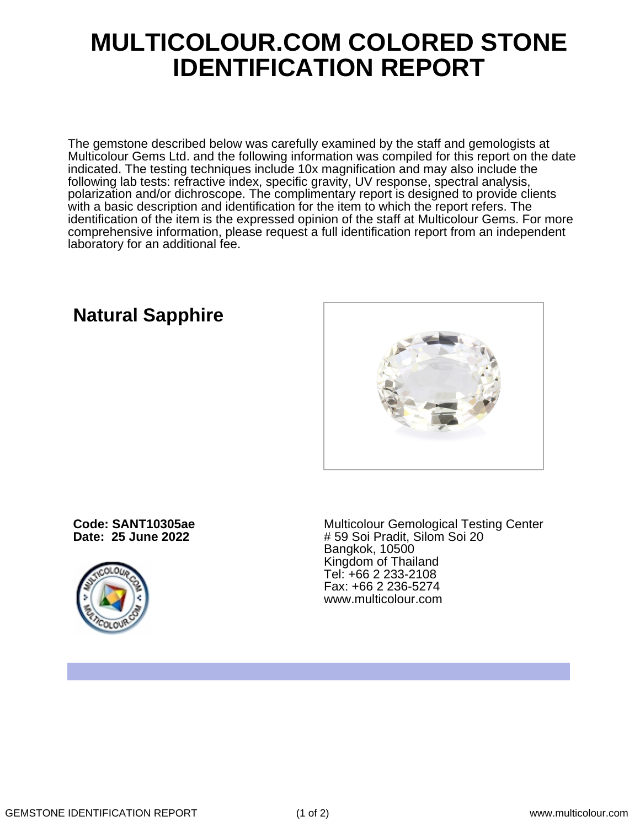## **MULTICOLOUR.COM COLORED STONE IDENTIFICATION REPORT**

The gemstone described below was carefully examined by the staff and gemologists at Multicolour Gems Ltd. and the following information was compiled for this report on the date indicated. The testing techniques include 10x magnification and may also include the following lab tests: refractive index, specific gravity, UV response, spectral analysis, polarization and/or dichroscope. The complimentary report is designed to provide clients with a basic description and identification for the item to which the report refers. The identification of the item is the expressed opinion of the staff at Multicolour Gems. For more comprehensive information, please request a full identification report from an independent laboratory for an additional fee.

### **Natural Sapphire**

**Code: SANT10305ae Date: 25 June 2022**



Multicolour Gemological Testing Center # 59 Soi Pradit, Silom Soi 20 Bangkok, 10500 Kingdom of Thailand Tel: +66 2 233-2108 Fax: +66 2 236-5274 www.multicolour.com